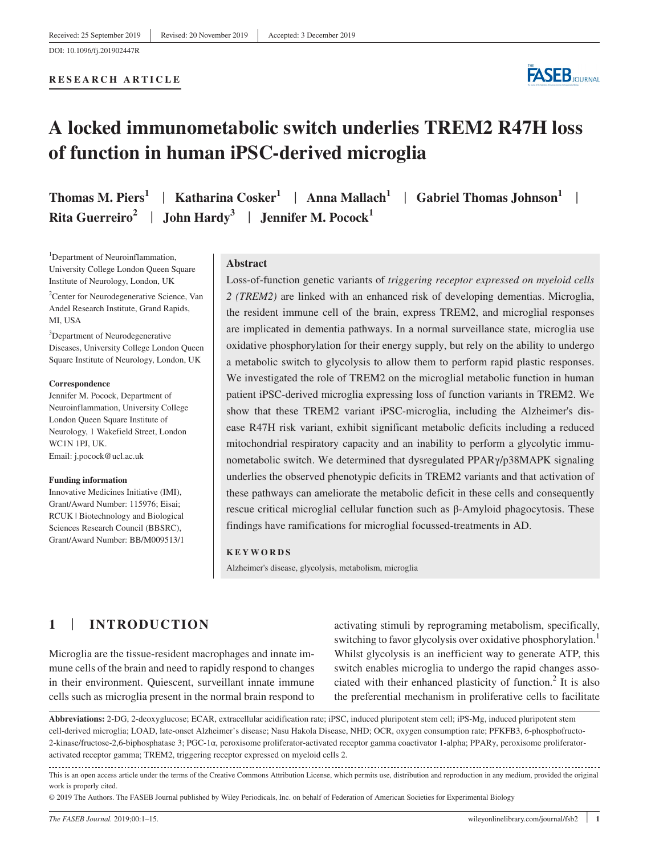#### **RESEARCH ARTICLE**



# **A locked immunometabolic switch underlies TREM2 R47H loss of function in human iPSC-derived microglia**

| Thomas M. Piers <sup>1</sup>   Katharina Cosker <sup>1</sup>   Anna Mallach <sup>1</sup>   Gabriel Thomas Johnson <sup>1</sup> |  |
|--------------------------------------------------------------------------------------------------------------------------------|--|
| Rita Guerreiro <sup>2</sup>   John Hardy <sup>3</sup>   Jennifer M. Pocock <sup>1</sup>                                        |  |

<sup>1</sup>Department of Neuroinflammation, University College London Queen Square Institute of Neurology, London, UK

<sup>2</sup> Center for Neurodegenerative Science, Van Andel Research Institute, Grand Rapids, MI, USA

<sup>3</sup>Department of Neurodegenerative Diseases, University College London Queen Square Institute of Neurology, London, UK

#### **Correspondence**

Jennifer M. Pocock, Department of Neuroinflammation, University College London Queen Square Institute of Neurology, 1 Wakefield Street, London WC1N 1PJ, UK. Email: [j.pocock@ucl.ac.uk](mailto:j.pocock@ucl.ac.uk)

#### **Funding information**

Innovative Medicines Initiative (IMI), Grant/Award Number: 115976; Eisai; RCUK | Biotechnology and Biological Sciences Research Council (BBSRC), Grant/Award Number: BB/M009513/1

#### **Abstract**

Loss-of-function genetic variants of *triggering receptor expressed on myeloid cells 2 (TREM2)* are linked with an enhanced risk of developing dementias. Microglia, the resident immune cell of the brain, express TREM2, and microglial responses are implicated in dementia pathways. In a normal surveillance state, microglia use oxidative phosphorylation for their energy supply, but rely on the ability to undergo a metabolic switch to glycolysis to allow them to perform rapid plastic responses. We investigated the role of TREM2 on the microglial metabolic function in human patient iPSC-derived microglia expressing loss of function variants in TREM2. We show that these TREM2 variant iPSC-microglia, including the Alzheimer's disease R47H risk variant, exhibit significant metabolic deficits including a reduced mitochondrial respiratory capacity and an inability to perform a glycolytic immunometabolic switch. We determined that dysregulated PPARγ/p38MAPK signaling underlies the observed phenotypic deficits in TREM2 variants and that activation of these pathways can ameliorate the metabolic deficit in these cells and consequently rescue critical microglial cellular function such as β-Amyloid phagocytosis. These findings have ramifications for microglial focussed-treatments in AD.

#### **KEYWORDS**

Alzheimer's disease, glycolysis, metabolism, microglia

# **1** | **INTRODUCTION**

Microglia are the tissue-resident macrophages and innate immune cells of the brain and need to rapidly respond to changes in their environment. Quiescent, surveillant innate immune cells such as microglia present in the normal brain respond to activating stimuli by reprograming metabolism, specifically, switching to favor glycolysis over oxidative phosphorylation.<sup>1</sup> Whilst glycolysis is an inefficient way to generate ATP, this switch enables microglia to undergo the rapid changes associated with their enhanced plasticity of function.<sup>2</sup> It is also the preferential mechanism in proliferative cells to facilitate

**Abbreviations:** 2-DG, 2-deoxyglucose; ECAR, extracellular acidification rate; iPSC, induced pluripotent stem cell; iPS-Mg, induced pluripotent stem cell-derived microglia; LOAD, late-onset Alzheimer's disease; Nasu Hakola Disease, NHD; OCR, oxygen consumption rate; PFKFB3, 6-phosphofructo-2-kinase/fructose-2,6-biphosphatase 3; PGC-1α, peroxisome proliferator-activated receptor gamma coactivator 1-alpha; PPARγ, peroxisome proliferatoractivated receptor gamma; TREM2, triggering receptor expressed on myeloid cells 2.

This is an open access article under the terms of the [Creative Commons Attribution](http://creativecommons.org/licenses/by/4.0/) License, which permits use, distribution and reproduction in any medium, provided the original work is properly cited.

© 2019 The Authors. The FASEB Journal published by Wiley Periodicals, Inc. on behalf of Federation of American Societies for Experimental Biology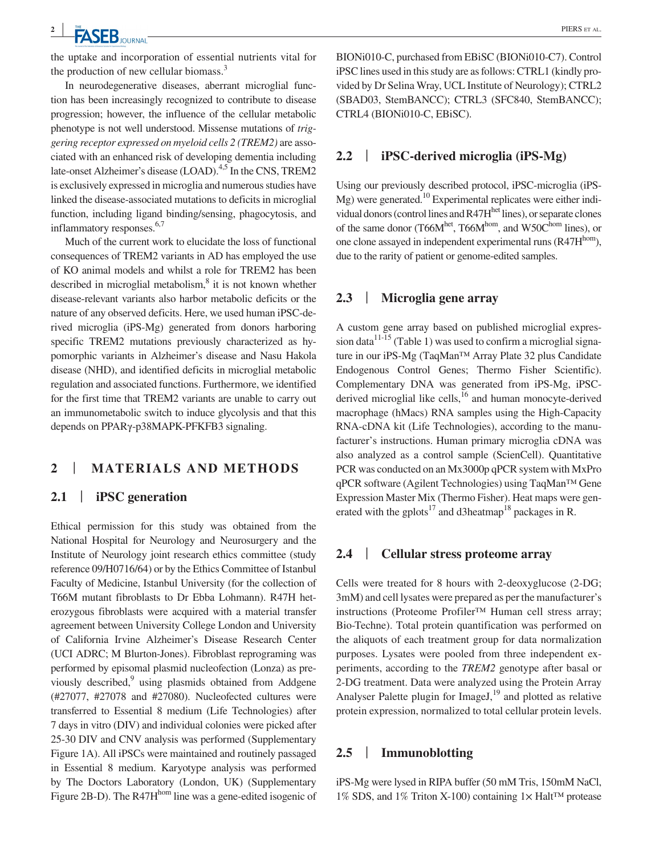the uptake and incorporation of essential nutrients vital for the production of new cellular biomass.<sup>3</sup>

In neurodegenerative diseases, aberrant microglial function has been increasingly recognized to contribute to disease progression; however, the influence of the cellular metabolic phenotype is not well understood. Missense mutations of *triggering receptor expressed on myeloid cells 2 (TREM2)* are associated with an enhanced risk of developing dementia including late-onset Alzheimer's disease (LOAD).<sup>4,5</sup> In the CNS, TREM2 is exclusively expressed in microglia and numerous studies have linked the disease-associated mutations to deficits in microglial function, including ligand binding/sensing, phagocytosis, and inflammatory responses.<sup>6,7</sup>

Much of the current work to elucidate the loss of functional consequences of TREM2 variants in AD has employed the use of KO animal models and whilst a role for TREM2 has been described in microglial metabolism,<sup>8</sup> it is not known whether disease-relevant variants also harbor metabolic deficits or the nature of any observed deficits. Here, we used human iPSC-derived microglia (iPS-Mg) generated from donors harboring specific TREM2 mutations previously characterized as hypomorphic variants in Alzheimer's disease and Nasu Hakola disease (NHD), and identified deficits in microglial metabolic regulation and associated functions. Furthermore, we identified for the first time that TREM2 variants are unable to carry out an immunometabolic switch to induce glycolysis and that this depends on PPARγ-p38MAPK-PFKFB3 signaling.

### **2** | **MATERIALS AND METHODS**

#### **2.1** | **iPSC generation**

Ethical permission for this study was obtained from the National Hospital for Neurology and Neurosurgery and the Institute of Neurology joint research ethics committee (study reference 09/H0716/64) or by the Ethics Committee of Istanbul Faculty of Medicine, Istanbul University (for the collection of T66M mutant fibroblasts to Dr Ebba Lohmann). R47H heterozygous fibroblasts were acquired with a material transfer agreement between University College London and University of California Irvine Alzheimer's Disease Research Center (UCI ADRC; M Blurton-Jones). Fibroblast reprograming was performed by episomal plasmid nucleofection (Lonza) as previously described,<sup>9</sup> using plasmids obtained from Addgene (#27077, #27078 and #27080). Nucleofected cultures were transferred to Essential 8 medium (Life Technologies) after 7 days in vitro (DIV) and individual colonies were picked after 25-30 DIV and CNV analysis was performed (Supplementary Figure 1A). All iPSCs were maintained and routinely passaged in Essential 8 medium. Karyotype analysis was performed by The Doctors Laboratory (London, UK) (Supplementary Figure 2B-D). The R47H<sup>hom</sup> line was a gene-edited isogenic of

BIONi010-C, purchased from EBiSC (BIONi010-C7). Control iPSC lines used in this study are as follows: CTRL1 (kindly provided by Dr Selina Wray, UCL Institute of Neurology); CTRL2 (SBAD03, StemBANCC); CTRL3 (SFC840, StemBANCC); CTRL4 (BIONi010-C, EBiSC).

#### **2.2** | **iPSC-derived microglia (iPS-Mg)**

Using our previously described protocol, iPSC-microglia (iPS- $Mg$ ) were generated.<sup>10</sup> Experimental replicates were either individual donors (control lines and R47H<sup>het</sup> lines), or separate clones of the same donor (T66 $M<sup>het</sup>$ , T66 $M<sup>hom</sup>$ , and W50 $C<sup>hom</sup>$  lines), or one clone assayed in independent experimental runs  $(R47H^{hom})$ , due to the rarity of patient or genome-edited samples.

#### **2.3** | **Microglia gene array**

A custom gene array based on published microglial expression data<sup>11-15</sup> (Table 1) was used to confirm a microglial signature in our iPS-Mg (TaqMan™ Array Plate 32 plus Candidate Endogenous Control Genes; Thermo Fisher Scientific). Complementary DNA was generated from iPS-Mg, iPSCderived microglial like cells, $^{16}$  and human monocyte-derived macrophage (hMacs) RNA samples using the High-Capacity RNA-cDNA kit (Life Technologies), according to the manufacturer's instructions. Human primary microglia cDNA was also analyzed as a control sample (ScienCell). Quantitative PCR was conducted on an Mx3000p qPCR system with MxPro qPCR software (Agilent Technologies) using TaqMan™ Gene Expression Master Mix (Thermo Fisher). Heat maps were generated with the gplots<sup>17</sup> and d3heatmap<sup>18</sup> packages in R.

#### **2.4** | **Cellular stress proteome array**

Cells were treated for 8 hours with 2-deoxyglucose (2-DG; 3mM) and cell lysates were prepared as per the manufacturer's instructions (Proteome Profiler™ Human cell stress array; Bio-Techne). Total protein quantification was performed on the aliquots of each treatment group for data normalization purposes. Lysates were pooled from three independent experiments, according to the *TREM2* genotype after basal or 2-DG treatment. Data were analyzed using the Protein Array Analyser Palette plugin for Image  $J<sub>19</sub>$  and plotted as relative protein expression, normalized to total cellular protein levels.

#### **2.5** | **Immunoblotting**

iPS-Mg were lysed in RIPA buffer (50 mM Tris, 150mM NaCl, 1% SDS, and 1% Triton X-100) containing 1× Halt™ protease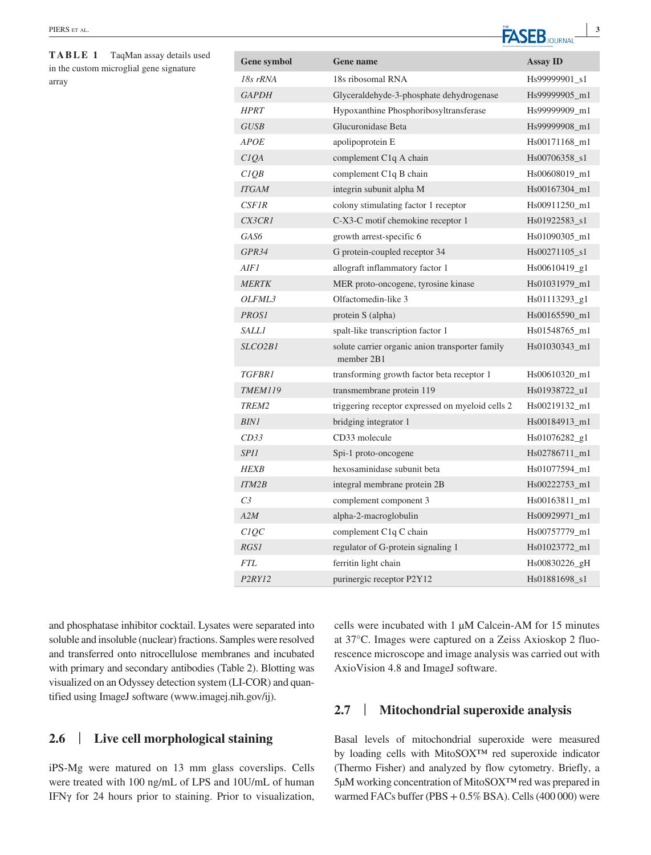**TABLE 1** TaqMan assay details used in the custom microglial gene signature array

| <b>Gene symbol</b>   | Gene name                                                     | <b>Assay ID</b> |
|----------------------|---------------------------------------------------------------|-----------------|
| $18s$ rRNA           | 18s ribosomal RNA                                             | Hs99999901_s1   |
| <b>GAPDH</b>         | Glyceraldehyde-3-phosphate dehydrogenase                      | Hs99999905_m1   |
| <b>HPRT</b>          | Hypoxanthine Phosphoribosyltransferase                        | Hs99999909_m1   |
| <b>GUSB</b>          | Glucuronidase Beta                                            | Hs99999908_m1   |
| <b>APOE</b>          | apolipoprotein E                                              | Hs00171168_m1   |
| CIOA                 | complement C <sub>1</sub> q A chain                           | Hs00706358_s1   |
| C1QB                 | complement C <sub>1</sub> q B chain                           | Hs00608019 m1   |
| <b>ITGAM</b>         | integrin subunit alpha M                                      | Hs00167304_m1   |
| CSFIR                | colony stimulating factor 1 receptor                          | Hs00911250 m1   |
| CX3CR1               | C-X3-C motif chemokine receptor 1                             | Hs01922583_s1   |
| GAS6                 | growth arrest-specific 6                                      | Hs01090305 m1   |
| GPR34                | G protein-coupled receptor 34                                 | $Hs00271105_s1$ |
| AIF1                 | allograft inflammatory factor 1                               | $Hs00610419_g1$ |
| <b>MERTK</b>         | MER proto-oncogene, tyrosine kinase                           | Hs01031979_m1   |
| OLFML3               | Olfactomedin-like 3                                           | $Hs01113293_g1$ |
| <b>PROSI</b>         | protein S (alpha)                                             | Hs00165590 m1   |
| <i>SALLI</i>         | spalt-like transcription factor 1                             | Hs01548765 m1   |
| SLCO <sub>2</sub> B1 | solute carrier organic anion transporter family<br>member 2B1 | Hs01030343 m1   |
| <b>TGFBR1</b>        | transforming growth factor beta receptor 1                    | Hs00610320_m1   |
| <b>TMEM119</b>       | transmembrane protein 119                                     | Hs01938722_u1   |
| TREM <sub>2</sub>    | triggering receptor expressed on myeloid cells 2              | Hs00219132_m1   |
| <b>BIN1</b>          | bridging integrator 1                                         | Hs00184913_m1   |
| CD33                 | CD33 molecule                                                 | Hs01076282_g1   |
| <i>SPI1</i>          | Spi-1 proto-oncogene                                          | Hs02786711_m1   |
| <b>HEXB</b>          | hexosaminidase subunit beta                                   | Hs01077594 m1   |
| <b>ITM2B</b>         | integral membrane protein 2B                                  | Hs00222753 m1   |
| C <sub>3</sub>       | complement component 3                                        | Hs00163811 m1   |
| A2M                  | alpha-2-macroglobulin                                         | Hs00929971_m1   |
| C1QC                 | complement C1q C chain                                        | Hs00757779 m1   |
| RGS1                 | regulator of G-protein signaling 1                            | Hs01023772_m1   |
| <b>FTL</b>           | ferritin light chain                                          | Hs00830226_gH   |
| P2RY12               | purinergic receptor P2Y12                                     | Hs01881698_s1   |

and phosphatase inhibitor cocktail. Lysates were separated into soluble and insoluble (nuclear) fractions. Samples were resolved and transferred onto [nitrocellulose](https://www.sciencedirect.com/topics/biochemistry-genetics-and-molecular-biology/nitrocellulose) membranes and incubated with primary and secondary antibodies (Table 2). Blotting was visualized on an Odyssey detection system (LI-COR) and quantified using ImageJ software [\(www.imagej.nih.gov/ij](http://www.imagej.nih.gov/ij)).

# **2.6** | **Live cell morphological staining**

iPS-Mg were matured on 13 mm glass coverslips. Cells were treated with 100 ng/mL of LPS and 10U/mL of human IFNγ for 24 hours prior to staining. Prior to visualization, cells were incubated with 1 µM Calcein-AM for 15 minutes at 37°C. Images were captured on a Zeiss Axioskop 2 fluorescence microscope and image analysis was carried out with AxioVision 4.8 and ImageJ software.

### **2.7** | **Mitochondrial superoxide analysis**

Basal levels of mitochondrial superoxide were measured by loading cells with MitoSOX**™** red superoxide indicator (Thermo Fisher) and analyzed by flow cytometry. Briefly, a 5µM working concentration of MitoSOX**™** red was prepared in warmed FACs buffer (PBS + 0.5% BSA). Cells (400 000) were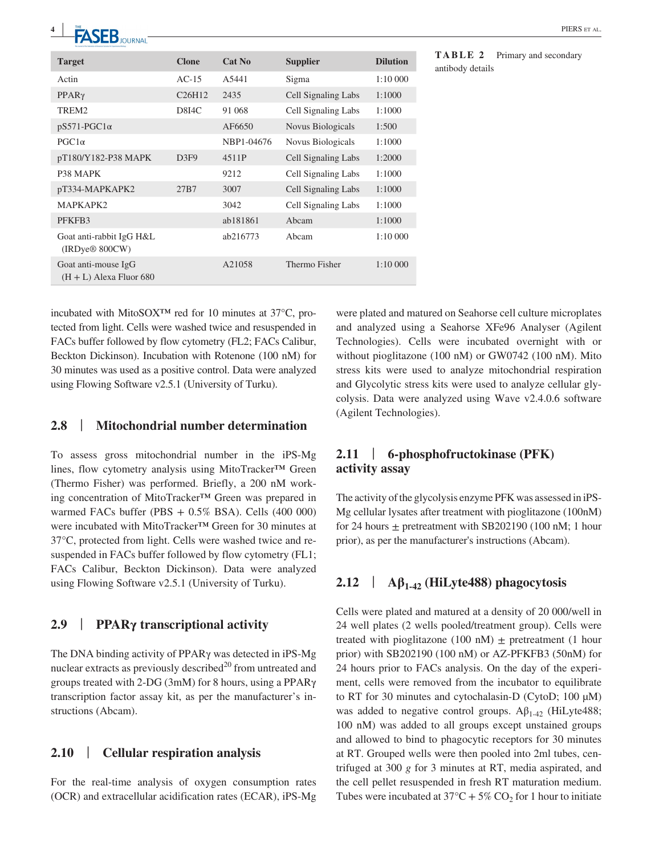| <b>WE LE JUURINAL</b>                                  |                                 |            |                     |                 |
|--------------------------------------------------------|---------------------------------|------------|---------------------|-----------------|
| <b>Target</b>                                          | <b>Clone</b>                    | Cat No     | <b>Supplier</b>     | <b>Dilution</b> |
| Actin                                                  | $AC-15$                         | A5441      | Sigma               | 1:10 000        |
| $PPAR\gamma$                                           | C <sub>26</sub> H <sub>12</sub> | 2435       | Cell Signaling Labs | 1:1000          |
| TREM2                                                  | <b>D8I4C</b>                    | 91 068     | Cell Signaling Labs | 1:1000          |
| $pS571-PGC1\alpha$                                     |                                 | AF6650     | Novus Biologicals   | 1:500           |
| $PGC1\alpha$                                           |                                 | NBP1-04676 | Novus Biologicals   | 1:1000          |
| pT180/Y182-P38 MAPK                                    | D3F9                            | 4511P      | Cell Signaling Labs | 1:2000          |
| P <sub>38</sub> MAPK                                   |                                 | 9212       | Cell Signaling Labs | 1:1000          |
| pT334-MAPKAPK2                                         | 27B7                            | 3007       | Cell Signaling Labs | 1:1000          |
| MAPKAPK2                                               |                                 | 3042       | Cell Signaling Labs | 1:1000          |
| PFKFB3                                                 |                                 | ab181861   | Abcam               | 1:1000          |
| Goat anti-rabbit IgG H&L<br>(IRDye <sup>®</sup> 800CW) |                                 | ab216773   | Abcam               | 1:10 000        |
| Goat anti-mouse IgG<br>$(H + L)$ Alexa Fluor 680       |                                 | A21058     | Thermo Fisher       | 1:10 000        |

**TA CED** PIERS ET AL.

incubated with MitoSOX**™** red for 10 minutes at 37°C, protected from light. Cells were washed twice and resuspended in FACs buffer followed by flow cytometry (FL2; FACs Calibur, Beckton Dickinson). Incubation with Rotenone (100 nM) for 30 minutes was used as a positive control. Data were analyzed using Flowing Software v2.5.1 (University of Turku).

**<sup>4</sup> <sup>|</sup>**

#### **2.8** | **Mitochondrial number determination**

To assess gross mitochondrial number in the iPS-Mg lines, flow cytometry analysis using MitoTracker**™** Green (Thermo Fisher) was performed. Briefly, a 200 nM working concentration of MitoTracker**™** Green was prepared in warmed FACs buffer (PBS + 0.5% BSA). Cells (400 000) were incubated with MitoTracker**™** Green for 30 minutes at 37°C, protected from light. Cells were washed twice and resuspended in FACs buffer followed by flow cytometry (FL1; FACs Calibur, Beckton Dickinson). Data were analyzed using Flowing Software v2.5.1 (University of Turku).

### **2.9** | **PPARγ transcriptional activity**

The DNA binding activity of PPARγ was detected in iPS-Mg nuclear extracts as previously described $^{20}$  from untreated and groups treated with 2-DG (3mM) for 8 hours, using a PPARγ transcription factor assay kit, as per the manufacturer's instructions (Abcam).

#### **2.10** | **Cellular respiration analysis**

For the real-time analysis of oxygen consumption rates (OCR) and extracellular acidification rates (ECAR), iPS-Mg were plated and matured on Seahorse cell culture microplates and analyzed using a Seahorse XFe96 Analyser (Agilent Technologies). Cells were incubated overnight with or without pioglitazone (100 nM) or GW0742 (100 nM). Mito stress kits were used to analyze mitochondrial respiration and Glycolytic stress kits were used to analyze cellular glycolysis. Data were analyzed using Wave v2.4.0.6 software (Agilent Technologies).

# **2.11** | **6-phosphofructokinase (PFK) activity assay**

The activity of the glycolysis enzyme PFK was assessed in iPS-Mg cellular lysates after treatment with pioglitazone (100nM) for 24 hours  $\pm$  pretreatment with SB202190 (100 nM; 1 hour prior), as per the manufacturer's instructions (Abcam).

# **2.12** | **Aβ1-42 (HiLyte488) phagocytosis**

Cells were plated and matured at a density of 20 000/well in 24 well plates (2 wells pooled/treatment group). Cells were treated with pioglitazone (100 nM)  $\pm$  pretreatment (1 hour prior) with SB202190 (100 nM) or AZ-PFKFB3 (50nM) for 24 hours prior to FACs analysis. On the day of the experiment, cells were removed from the incubator to equilibrate to RT for 30 minutes and cytochalasin-D (CytoD; 100 µM) was added to negative control groups.  $A\beta_{1-42}$  (HiLyte488; 100 nM) was added to all groups except unstained groups and allowed to bind to phagocytic receptors for 30 minutes at RT. Grouped wells were then pooled into 2ml tubes, centrifuged at 300 *g* for 3 minutes at RT, media aspirated, and the cell pellet resuspended in fresh RT maturation medium. Tubes were incubated at  $37^{\circ}\text{C} + 5\% \text{ CO}_2$  for 1 hour to initiate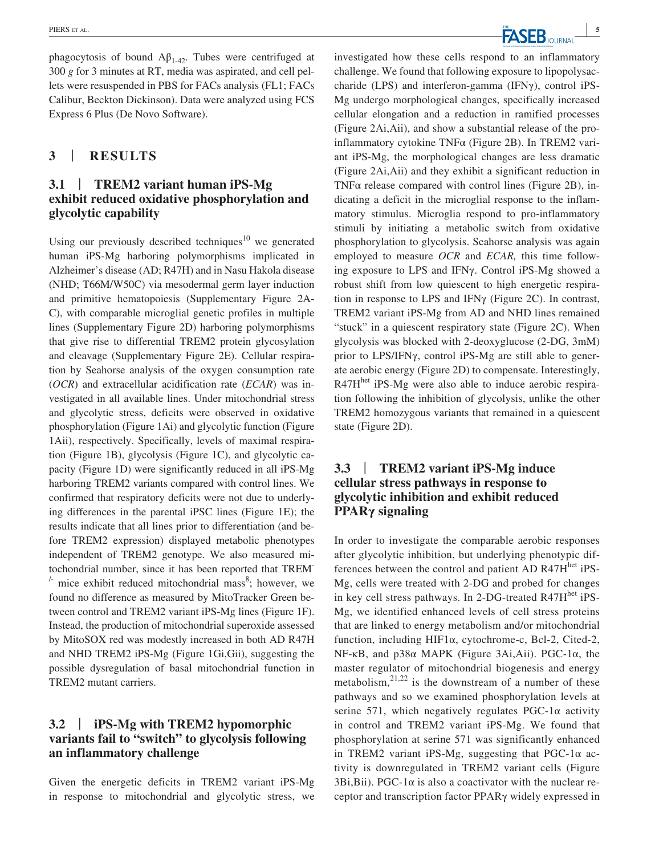phagocytosis of bound  $A\beta_{1-42}$ . Tubes were centrifuged at 300 *g* for 3 minutes at RT, media was aspirated, and cell pellets were resuspended in PBS for FACs analysis (FL1; FACs Calibur, Beckton Dickinson). Data were analyzed using FCS Express 6 Plus (De Novo Software).

### **3** | **RESULTS**

### **3.1** | **TREM2 variant human iPS-Mg exhibit reduced oxidative phosphorylation and glycolytic capability**

Using our previously described techniques<sup>10</sup> we generated human iPS-Mg harboring polymorphisms implicated in Alzheimer's disease (AD; R47H) and in Nasu Hakola disease (NHD; T66M/W50C) via mesodermal germ layer induction and primitive hematopoiesis (Supplementary Figure 2A-C), with comparable microglial genetic profiles in multiple lines (Supplementary Figure 2D) harboring polymorphisms that give rise to differential TREM2 protein glycosylation and cleavage (Supplementary Figure 2E). Cellular respiration by Seahorse analysis of the oxygen consumption rate (*OCR*) and extracellular acidification rate (*ECAR*) was investigated in all available lines. Under mitochondrial stress and glycolytic stress, deficits were observed in oxidative phosphorylation (Figure 1Ai) and glycolytic function (Figure 1Aii), respectively. Specifically, levels of maximal respiration (Figure 1B), glycolysis (Figure 1C), and glycolytic capacity (Figure 1D) were significantly reduced in all iPS-Mg harboring TREM2 variants compared with control lines. We confirmed that respiratory deficits were not due to underlying differences in the parental iPSC lines (Figure 1E); the results indicate that all lines prior to differentiation (and before TREM2 expression) displayed metabolic phenotypes independent of TREM2 genotype. We also measured mitochondrial number, since it has been reported that TREM-  $\lambda$  mice exhibit reduced mitochondrial mass<sup>8</sup>; however, we found no difference as measured by MitoTracker Green between control and TREM2 variant iPS-Mg lines (Figure 1F). Instead, the production of mitochondrial superoxide assessed by MitoSOX red was modestly increased in both AD R47H and NHD TREM2 iPS-Mg (Figure 1Gi,Gii), suggesting the possible dysregulation of basal mitochondrial function in TREM2 mutant carriers.

### **3.2** | **iPS-Mg with TREM2 hypomorphic variants fail to "switch" to glycolysis following an inflammatory challenge**

Given the energetic deficits in TREM2 variant iPS-Mg in response to mitochondrial and glycolytic stress, we investigated how these cells respond to an inflammatory challenge. We found that following exposure to lipopolysaccharide (LPS) and interferon-gamma (IFNγ), control iPS-Mg undergo morphological changes, specifically increased cellular elongation and a reduction in ramified processes (Figure 2Ai,Aii), and show a substantial release of the proinflammatory cytokine TNFα (Figure 2B). In TREM2 variant iPS-Mg, the morphological changes are less dramatic (Figure 2Ai,Aii) and they exhibit a significant reduction in TNF $\alpha$  release compared with control lines (Figure 2B), indicating a deficit in the microglial response to the inflammatory stimulus. Microglia respond to pro-inflammatory stimuli by initiating a metabolic switch from oxidative phosphorylation to glycolysis. Seahorse analysis was again employed to measure *OCR* and *ECAR,* this time following exposure to LPS and IFNγ. Control iPS-Mg showed a robust shift from low quiescent to high energetic respiration in response to LPS and IFNγ (Figure 2C). In contrast, TREM2 variant iPS-Mg from AD and NHD lines remained "stuck" in a quiescent respiratory state (Figure 2C). When glycolysis was blocked with 2-deoxyglucose (2-DG, 3mM) prior to LPS/IFNγ, control iPS-Mg are still able to generate aerobic energy (Figure 2D) to compensate. Interestingly, R47H<sup>het</sup> iPS-Mg were also able to induce aerobic respiration following the inhibition of glycolysis, unlike the other TREM2 homozygous variants that remained in a quiescent state (Figure 2D).

## **3.3** | **TREM2 variant iPS-Mg induce cellular stress pathways in response to glycolytic inhibition and exhibit reduced PPARγ signaling**

In order to investigate the comparable aerobic responses after glycolytic inhibition, but underlying phenotypic differences between the control and patient AD R47H<sup>het</sup> iPS-Mg, cells were treated with 2-DG and probed for changes in key cell stress pathways. In 2-DG-treated R47Hhet iPS-Mg, we identified enhanced levels of cell stress proteins that are linked to energy metabolism and/or mitochondrial function, including HIF1α, cytochrome-c, Bcl-2, Cited-2, NF-κB, and p38α MAPK (Figure 3Ai,Aii). PGC-1α, the master regulator of mitochondrial biogenesis and energy metabolism, $2^{1,22}$  is the downstream of a number of these pathways and so we examined phosphorylation levels at serine 571, which negatively regulates PGC-1 $\alpha$  activity in control and TREM2 variant iPS-Mg. We found that phosphorylation at serine 571 was significantly enhanced in TREM2 variant iPS-Mg, suggesting that PGC-1 $\alpha$  activity is downregulated in TREM2 variant cells (Figure 3Bi,Bii). PGC-1 $\alpha$  is also a coactivator with the nuclear receptor and transcription factor PPARγ widely expressed in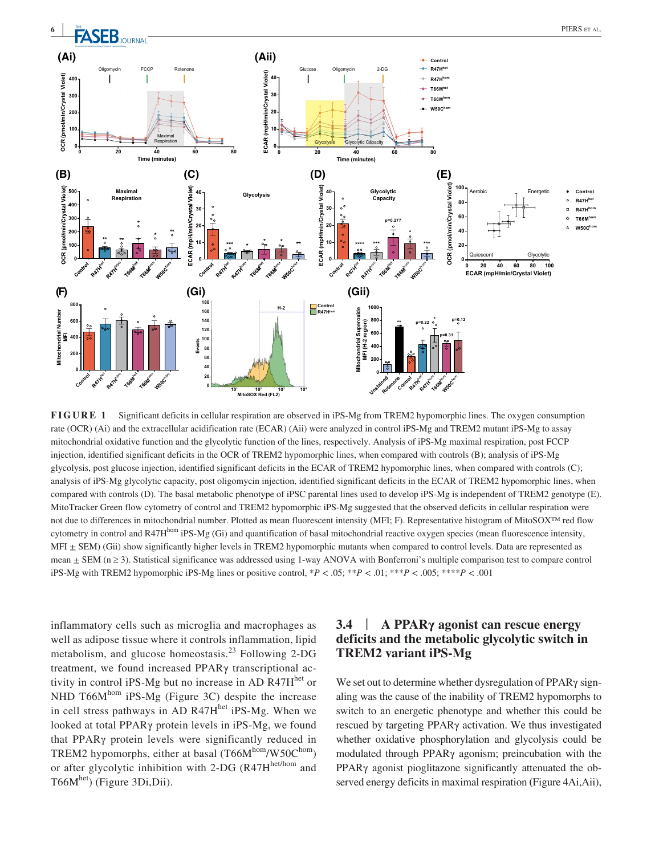

**FIGURE 1** Significant deficits in cellular respiration are observed in iPS-Mg from TREM2 hypomorphic lines. The oxygen consumption rate (OCR) (Ai) and the extracellular acidification rate (ECAR) (Aii) were analyzed in control iPS-Mg and TREM2 mutant iPS-Mg to assay mitochondrial oxidative function and the glycolytic function of the lines, respectively. Analysis of iPS-Mg maximal respiration, post FCCP injection, identified significant deficits in the OCR of TREM2 hypomorphic lines, when compared with controls (B); analysis of iPS-Mg glycolysis, post glucose injection, identified significant deficits in the ECAR of TREM2 hypomorphic lines, when compared with controls (C); analysis of iPS-Mg glycolytic capacity, post oligomycin injection, identified significant deficits in the ECAR of TREM2 hypomorphic lines, when compared with controls (D). The basal metabolic phenotype of iPSC parental lines used to develop iPS-Mg is independent of TREM2 genotype (E). MitoTracker Green flow cytometry of control and TREM2 hypomorphic iPS-Mg suggested that the observed deficits in cellular respiration were not due to differences in mitochondrial number. Plotted as mean fluorescent intensity (MFI; F). Representative histogram of MitoSOX™ red flow cytometry in control and R47H $^{hom}$  iPS-Mg (Gi) and quantification of basal mitochondrial reactive oxygen species (mean fluorescence intensity, MFI  $\pm$  SEM) (Gii) show significantly higher levels in TREM2 hypomorphic mutants when compared to control levels. Data are represented as mean  $\pm$  SEM ( $n \ge 3$ ). Statistical significance was addressed using 1-way ANOVA with Bonferroni's multiple comparison test to compare control iPS-Mg with TREM2 hypomorphic iPS-Mg lines or positive control,  $*P < .05$ ;  $**P < .01$ ;  $**P < .005$ ;  $***P < .001$ 

inflammatory cells such as microglia and macrophages as well as adipose tissue where it controls inflammation, lipid metabolism, and glucose homeostasis. $^{23}$  Following 2-DG treatment, we found increased PPARγ transcriptional activity in control iPS-Mg but no increase in AD R47H<sup>het</sup> or NHD T66 $M<sup>hom</sup>$  iPS-Mg (Figure 3C) despite the increase in cell stress pathways in AD R47 $H<sup>het</sup>$  iPS-Mg. When we looked at total PPARγ protein levels in iPS-Mg, we found that PPARγ protein levels were significantly reduced in TREM2 hypomorphs, either at basal (T66Mhom/W50Chom) or after glycolytic inhibition with 2-DG ( $R47H<sup>het/hom</sup>$  and T66Mhet) (Figure 3Di,Dii).

# **3.4** | **A PPARγ agonist can rescue energy deficits and the metabolic glycolytic switch in TREM2 variant iPS-Mg**

We set out to determine whether dysregulation of PPARγ signaling was the cause of the inability of TREM2 hypomorphs to switch to an energetic phenotype and whether this could be rescued by targeting PPARγ activation. We thus investigated whether oxidative phosphorylation and glycolysis could be modulated through PPARγ agonism; preincubation with the PPARγ agonist pioglitazone significantly attenuated the observed energy deficits in maximal respiration **(**Figure 4Ai,Aii),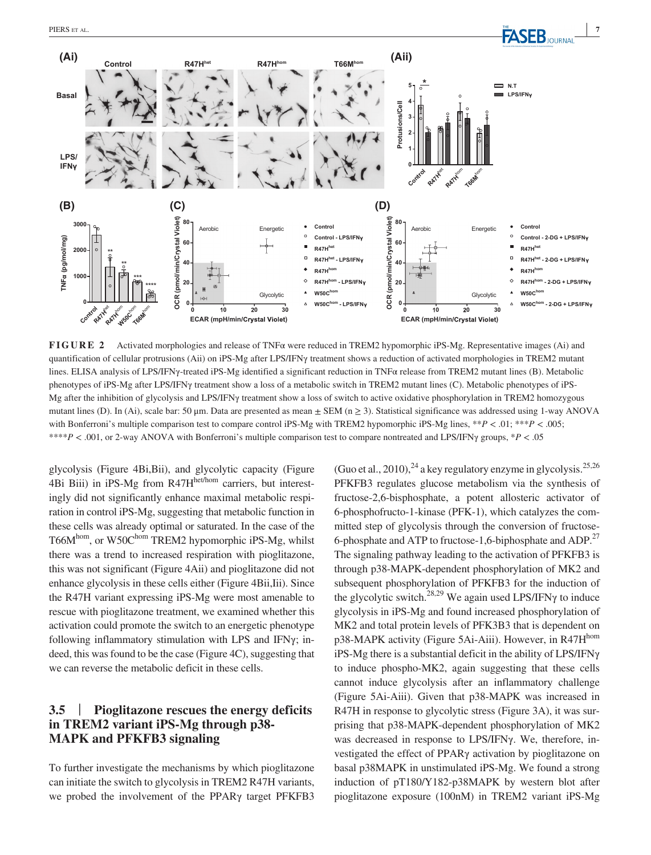

**FIGURE 2** Activated morphologies and release of TNFα were reduced in TREM2 hypomorphic iPS-Mg. Representative images (Ai) and quantification of cellular protrusions (Aii) on iPS-Mg after LPS/IFNγ treatment shows a reduction of activated morphologies in TREM2 mutant lines. ELISA analysis of LPS/IFNγ-treated iPS-Mg identified a significant reduction in TNFα release from TREM2 mutant lines (B). Metabolic phenotypes of iPS-Mg after LPS/IFNγ treatment show a loss of a metabolic switch in TREM2 mutant lines (C). Metabolic phenotypes of iPS-Mg after the inhibition of glycolysis and LPS/IFNγ treatment show a loss of switch to active oxidative phosphorylation in TREM2 homozygous mutant lines (D). In (Ai), scale bar: 50  $\mu$ m. Data are presented as mean  $\pm$  SEM (n  $\geq$  3). Statistical significance was addressed using 1-way ANOVA with Bonferroni's multiple comparison test to compare control iPS-Mg with TREM2 hypomorphic iPS-Mg lines, \*\**P* < .01; \*\*\**P* < .005; \*\*\*\**P* < .001, or 2-way ANOVA with Bonferroni's multiple comparison test to compare nontreated and LPS/IFNγ groups, \**P* < .05

glycolysis (Figure 4Bi,Bii), and glycolytic capacity (Figure 4Bi Biii) in iPS-Mg from R47H<sup>het/hom</sup> carriers, but interestingly did not significantly enhance maximal metabolic respiration in control iPS-Mg, suggesting that metabolic function in these cells was already optimal or saturated. In the case of the T66M<sup>hom</sup>, or W50C<sup>hom</sup> TREM2 hypomorphic iPS-Mg, whilst there was a trend to increased respiration with pioglitazone, this was not significant (Figure 4Aii) and pioglitazone did not enhance glycolysis in these cells either (Figure 4Bii,Iii). Since the R47H variant expressing iPS-Mg were most amenable to rescue with pioglitazone treatment, we examined whether this activation could promote the switch to an energetic phenotype following inflammatory stimulation with LPS and IFNγ; indeed, this was found to be the case (Figure 4C), suggesting that we can reverse the metabolic deficit in these cells.

# **3.5** | **Pioglitazone rescues the energy deficits in TREM2 variant iPS-Mg through p38- MAPK and PFKFB3 signaling**

To further investigate the mechanisms by which pioglitazone can initiate the switch to glycolysis in TREM2 R47H variants, we probed the involvement of the PPARγ target PFKFB3 (Guo et al., 2010),  $^{24}$  a key regulatory enzyme in glycolysis.<sup>25,26</sup> PFKFB3 regulates glucose metabolism via the synthesis of fructose-2,6-bisphosphate, a potent allosteric activator of 6-phosphofructo-1-kinase (PFK-1), which catalyzes the committed step of glycolysis through the conversion of fructose-6-phosphate and ATP to fructose-1,6-biphosphate and ADP.<sup>27</sup> The signaling pathway leading to the activation of PFKFB3 is through p38-MAPK-dependent phosphorylation of MK2 and subsequent phosphorylation of PFKFB3 for the induction of the glycolytic switch.<sup>28,29</sup> We again used LPS/IFN $\gamma$  to induce glycolysis in iPS-Mg and found increased phosphorylation of MK2 and total protein levels of PFK3B3 that is dependent on p38-MAPK activity (Figure 5Ai-Aiii). However, in R47H<sup>hom</sup> iPS-Mg there is a substantial deficit in the ability of LPS/IFNγ to induce phospho-MK2, again suggesting that these cells cannot induce glycolysis after an inflammatory challenge (Figure 5Ai-Aiii). Given that p38-MAPK was increased in R47H in response to glycolytic stress (Figure 3A), it was surprising that p38-MAPK-dependent phosphorylation of MK2 was decreased in response to LPS/IFNγ. We, therefore, investigated the effect of PPARγ activation by pioglitazone on basal p38MAPK in unstimulated iPS-Mg. We found a strong induction of pT180/Y182-p38MAPK by western blot after pioglitazone exposure (100nM) in TREM2 variant iPS-Mg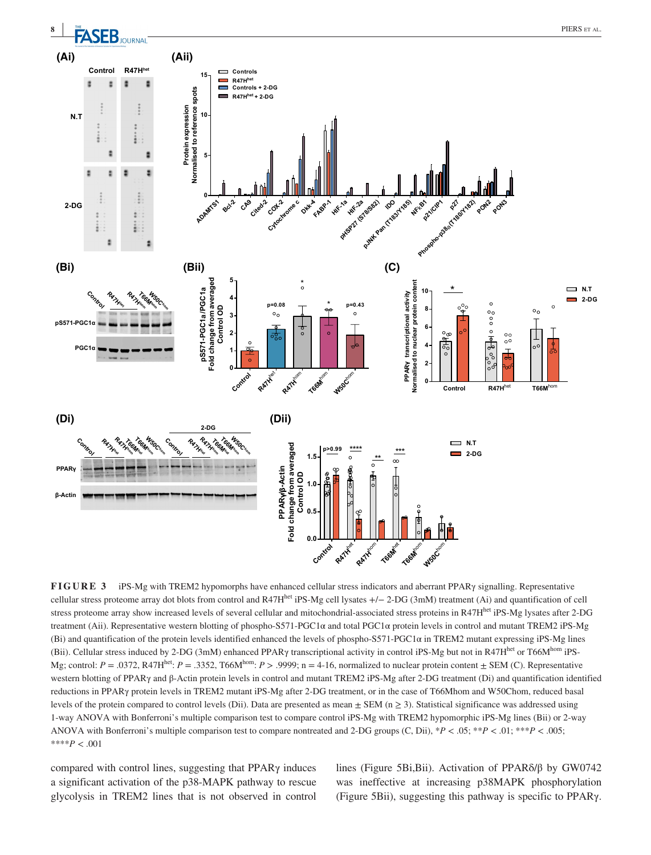

**FIGURE 3** iPS-Mg with TREM2 hypomorphs have enhanced cellular stress indicators and aberrant PPARγ signalling. Representative cellular stress proteome array dot blots from control and R47H<sup>het</sup> iPS-Mg cell lysates  $+/- 2$ -DG (3mM) treatment (Ai) and quantification of cell stress proteome array show increased levels of several cellular and mitochondrial-associated stress proteins in R47H<sup>het</sup> iPS-Mg lysates after 2-DG treatment (Aii). Representative western blotting of phospho-S571-PGC1α and total PGC1α protein levels in control and mutant TREM2 iPS-Mg (Bi) and quantification of the protein levels identified enhanced the levels of phospho-S571-PGC1 $\alpha$  in TREM2 mutant expressing iPS-Mg lines (Bii). Cellular stress induced by 2-DG (3mM) enhanced PPARy transcriptional activity in control iPS-Mg but not in R47H<sup>het</sup> or T66Mhom iPS-Mg; control:  $P = .0372$ , R47H<sup>het</sup>:  $P = .3352$ , T66M<sup>hom</sup>:  $P > .9999$ ; n = 4-16, normalized to nuclear protein content  $\pm$  SEM (C). Representative western blotting of PPARγ and β-Actin protein levels in control and mutant TREM2 iPS-Mg after 2-DG treatment (Di) and quantification identified reductions in PPARγ protein levels in TREM2 mutant iPS-Mg after 2-DG treatment, or in the case of T66Mhom and W50Chom, reduced basal levels of the protein compared to control levels (Dii). Data are presented as mean  $\pm$  SEM (n  $\geq$  3). Statistical significance was addressed using 1-way ANOVA with Bonferroni's multiple comparison test to compare control iPS-Mg with TREM2 hypomorphic iPS-Mg lines (Bii) or 2-way ANOVA with Bonferroni's multiple comparison test to compare nontreated and 2-DG groups (C, Dii), \**P* < .05; \*\**P* < .01; \*\*\**P* < .005; \*\*\*\**P* < .001

compared with control lines, suggesting that PPARγ induces a significant activation of the p38-MAPK pathway to rescue glycolysis in TREM2 lines that is not observed in control lines (Figure 5Bi,Bii). Activation of PPARδ/β by GW0742 was ineffective at increasing p38MAPK phosphorylation (Figure 5Bii), suggesting this pathway is specific to PPARγ.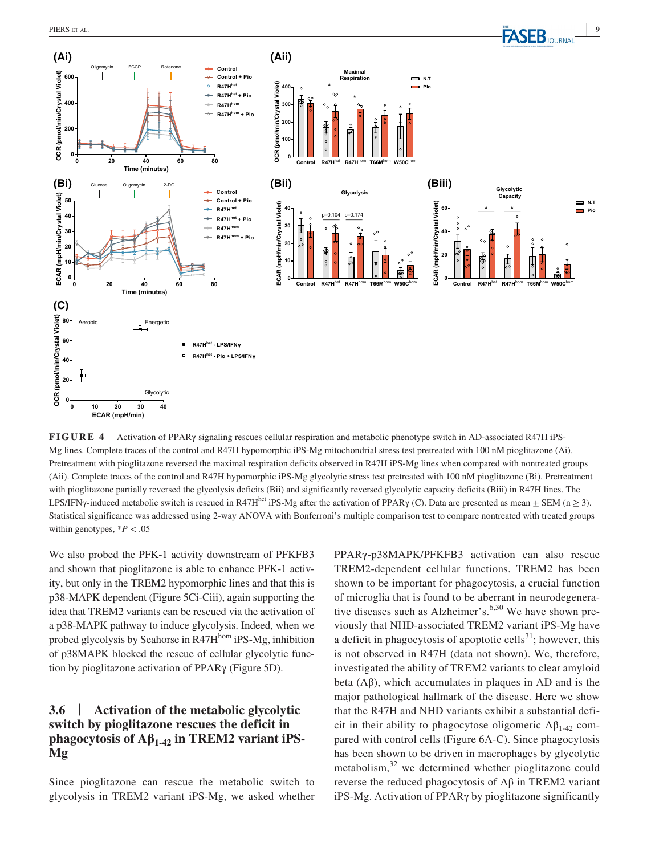**PIERS** et al. **PIERS** et al.



**FIGURE 4** Activation of PPARγ signaling rescues cellular respiration and metabolic phenotype switch in AD-associated R47H iPS-Mg lines. Complete traces of the control and R47H hypomorphic iPS-Mg mitochondrial stress test pretreated with 100 nM pioglitazone (Ai). Pretreatment with pioglitazone reversed the maximal respiration deficits observed in R47H iPS-Mg lines when compared with nontreated groups (Aii). Complete traces of the control and R47H hypomorphic iPS-Mg glycolytic stress test pretreated with 100 nM pioglitazone (Bi). Pretreatment with pioglitazone partially reversed the glycolysis deficits (Bii) and significantly reversed glycolytic capacity deficits (Biii) in R47H lines. The LPS/IFN $\gamma$ -induced metabolic switch is rescued in R47H<sup>het</sup> iPS-Mg after the activation of PPAR $\gamma$  (C). Data are presented as mean  $\pm$  SEM (n  $\geq$  3). Statistical significance was addressed using 2-way ANOVA with Bonferroni's multiple comparison test to compare nontreated with treated groups within genotypes,  $*P < .05$ 

We also probed the PFK-1 activity downstream of PFKFB3 and shown that pioglitazone is able to enhance PFK-1 activity, but only in the TREM2 hypomorphic lines and that this is p38-MAPK dependent (Figure 5Ci-Ciii), again supporting the idea that TREM2 variants can be rescued via the activation of a p38-MAPK pathway to induce glycolysis. Indeed, when we probed glycolysis by Seahorse in R47H<sup>hom</sup> iPS-Mg, inhibition of p38MAPK blocked the rescue of cellular glycolytic function by pioglitazone activation of PPARγ (Figure 5D).

### **3.6** | **Activation of the metabolic glycolytic switch by pioglitazone rescues the deficit in phagocytosis of Aβ1-42 in TREM2 variant iPS-Mg**

Since pioglitazone can rescue the metabolic switch to glycolysis in TREM2 variant iPS-Mg, we asked whether PPARγ-p38MAPK/PFKFB3 activation can also rescue TREM2-dependent cellular functions. TREM2 has been shown to be important for phagocytosis, a crucial function of microglia that is found to be aberrant in neurodegenerative diseases such as Alzheimer's. $6,30$  We have shown previously that NHD-associated TREM2 variant iPS-Mg have a deficit in phagocytosis of apoptotic cells<sup>31</sup>; however, this is not observed in R47H (data not shown). We, therefore, investigated the ability of TREM2 variants to clear amyloid beta  $(A\beta)$ , which accumulates in plaques in AD and is the major pathological hallmark of the disease. Here we show that the R47H and NHD variants exhibit a substantial deficit in their ability to phagocytose oligomeric  $A\beta_{1-42}$  compared with control cells (Figure 6A-C). Since phagocytosis has been shown to be driven in macrophages by glycolytic metabolism, $32$  we determined whether pioglitazone could reverse the reduced phagocytosis of Aβ in TREM2 variant iPS-Mg. Activation of PPARγ by pioglitazone significantly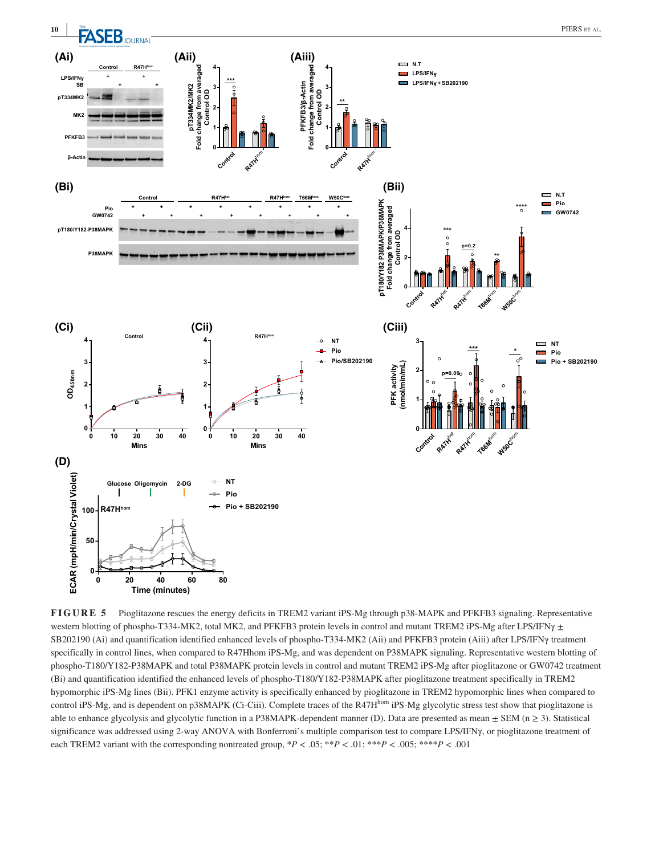

**FIGURE 5** Pioglitazone rescues the energy deficits in TREM2 variant iPS-Mg through p38-MAPK and PFKFB3 signaling. Representative western blotting of phospho-T334-MK2, total MK2, and PFKFB3 protein levels in control and mutant TREM2 iPS-Mg after LPS/IFN $\gamma$   $\pm$ SB202190 (Ai) and quantification identified enhanced levels of phospho-T334-MK2 (Aii) and PFKFB3 protein (Aiii) after LPS/IFNγ treatment specifically in control lines, when compared to R47Hhom iPS-Mg, and was dependent on P38MAPK signaling. Representative western blotting of phospho-T180/Y182-P38MAPK and total P38MAPK protein levels in control and mutant TREM2 iPS-Mg after pioglitazone or GW0742 treatment (Bi) and quantification identified the enhanced levels of phospho-T180/Y182-P38MAPK after pioglitazone treatment specifically in TREM2 hypomorphic iPS-Mg lines (Bii). PFK1 enzyme activity is specifically enhanced by pioglitazone in TREM2 hypomorphic lines when compared to control iPS-Mg, and is dependent on p38MAPK (Ci-Ciii). Complete traces of the R47H<sup>hom</sup> iPS-Mg glycolytic stress test show that pioglitazone is able to enhance glycolysis and glycolytic function in a P38MAPK-dependent manner (D). Data are presented as mean  $\pm$  SEM (n  $\geq$  3). Statistical significance was addressed using 2-way ANOVA with Bonferroni's multiple comparison test to compare LPS/IFNγ, or pioglitazone treatment of each TREM2 variant with the corresponding nontreated group,  $*P < .05$ ;  $* * P < .01$ ;  $* * P < .005$ ;  $* * * P < .001$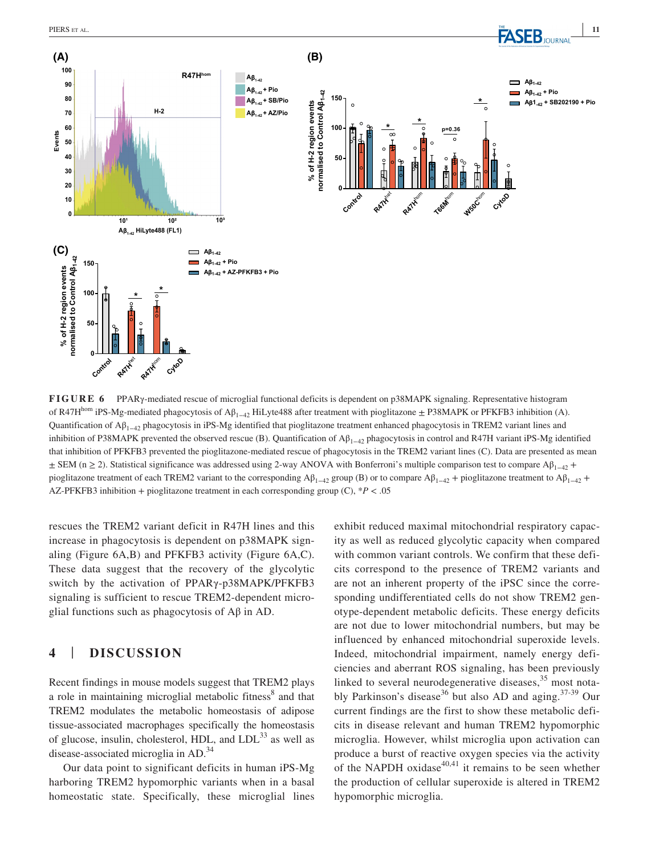

**FIGURE 6** PPARγ-mediated rescue of microglial functional deficits is dependent on p38MAPK signaling. Representative histogram of R47H<sup>hom</sup> iPS-Mg-mediated phagocytosis of A $\beta_{1-42}$  HiLyte488 after treatment with pioglitazone ± P38MAPK or PFKFB3 inhibition (A). Quantification of Aβ1−42 phagocytosis in iPS-Mg identified that pioglitazone treatment enhanced phagocytosis in TREM2 variant lines and inhibition of P38MAPK prevented the observed rescue (B). Quantification of  $A\beta_{1-42}$  phagocytosis in control and R47H variant iPS-Mg identified that inhibition of PFKFB3 prevented the pioglitazone-mediated rescue of phagocytosis in the TREM2 variant lines (C). Data are presented as mean  $\pm$  SEM (n ≥ 2). Statistical significance was addressed using 2-way ANOVA with Bonferroni's multiple comparison test to compare A $\beta_{1-42}$  + pioglitazone treatment of each TREM2 variant to the corresponding  $A\beta_{1-42}$  group (B) or to compare  $A\beta_{1-42}$  + pioglitazone treatment to  $A\beta_{1-42}$  +

rescues the TREM2 variant deficit in R47H lines and this increase in phagocytosis is dependent on p38MAPK signaling (Figure 6A,B) and PFKFB3 activity (Figure 6A,C). These data suggest that the recovery of the glycolytic switch by the activation of PPARγ-p38MAPK/PFKFB3 signaling is sufficient to rescue TREM2-dependent microglial functions such as phagocytosis of  $A\beta$  in AD.

### **4** | **DISCUSSION**

Recent findings in mouse models suggest that TREM2 plays a role in maintaining microglial metabolic fitness<sup>8</sup> and that TREM2 modulates the metabolic homeostasis of adipose tissue-associated macrophages specifically the homeostasis of glucose, insulin, cholesterol, HDL, and  $LDL<sup>33</sup>$  as well as disease-associated microglia in AD.<sup>34</sup>

Our data point to significant deficits in human iPS-Mg harboring TREM2 hypomorphic variants when in a basal homeostatic state. Specifically, these microglial lines exhibit reduced maximal mitochondrial respiratory capacity as well as reduced glycolytic capacity when compared with common variant controls. We confirm that these deficits correspond to the presence of TREM2 variants and are not an inherent property of the iPSC since the corresponding undifferentiated cells do not show TREM2 genotype-dependent metabolic deficits. These energy deficits are not due to lower mitochondrial numbers, but may be influenced by enhanced mitochondrial superoxide levels. Indeed, mitochondrial impairment, namely energy deficiencies and aberrant ROS signaling, has been previously linked to several neurodegenerative diseases,<sup>35</sup> most notably Parkinson's disease<sup>36</sup> but also AD and aging.<sup>37-39</sup> Our current findings are the first to show these metabolic deficits in disease relevant and human TREM2 hypomorphic microglia. However, whilst microglia upon activation can produce a burst of reactive oxygen species via the activity of the NAPDH oxidase $40,41$  it remains to be seen whether the production of cellular superoxide is altered in TREM2 hypomorphic microglia.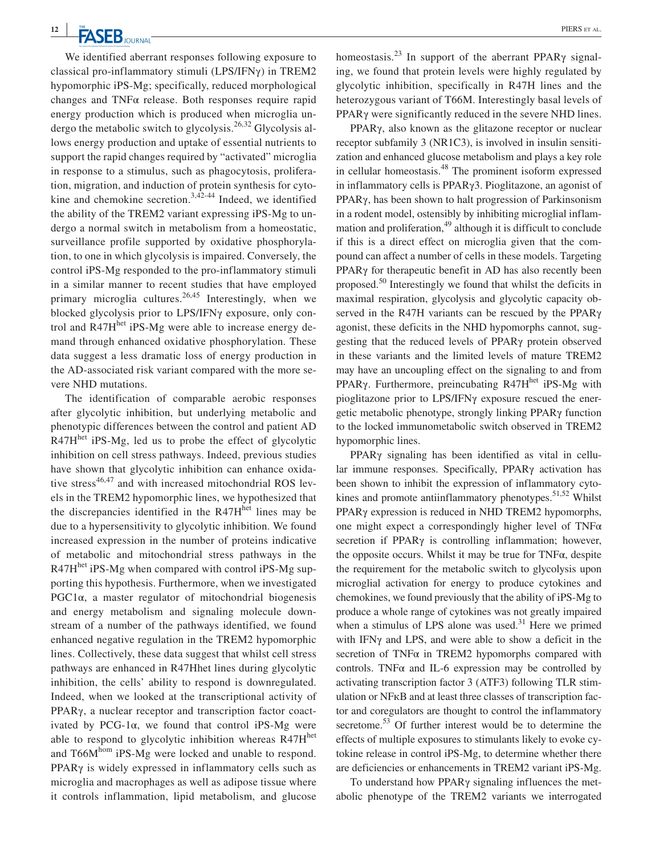We identified aberrant responses following exposure to classical pro-inflammatory stimuli (LPS/IFNγ) in TREM2 hypomorphic iPS-Mg; specifically, reduced morphological changes and TNFα release. Both responses require rapid energy production which is produced when microglia undergo the metabolic switch to glycolysis.26,32 Glycolysis allows energy production and uptake of essential nutrients to support the rapid changes required by "activated" microglia in response to a stimulus, such as phagocytosis, proliferation, migration, and induction of protein synthesis for cytokine and chemokine secretion. $3,42-44$  Indeed, we identified the ability of the TREM2 variant expressing iPS-Mg to undergo a normal switch in metabolism from a homeostatic, surveillance profile supported by oxidative phosphorylation, to one in which glycolysis is impaired. Conversely, the control iPS-Mg responded to the pro-inflammatory stimuli in a similar manner to recent studies that have employed primary microglia cultures.<sup>26,45</sup> Interestingly, when we blocked glycolysis prior to LPS/IFNγ exposure, only control and  $R47H<sup>het</sup>$  iPS-Mg were able to increase energy demand through enhanced oxidative phosphorylation. These data suggest a less dramatic loss of energy production in the AD-associated risk variant compared with the more severe NHD mutations.

The identification of comparable aerobic responses after glycolytic inhibition, but underlying metabolic and phenotypic differences between the control and patient AD R47H<sup>het</sup> iPS-Mg, led us to probe the effect of glycolytic inhibition on cell stress pathways. Indeed, previous studies have shown that glycolytic inhibition can enhance oxidative stress $46,47$  and with increased mitochondrial ROS levels in the TREM2 hypomorphic lines, we hypothesized that the discrepancies identified in the  $R47H<sup>het</sup>$  lines may be due to a hypersensitivity to glycolytic inhibition. We found increased expression in the number of proteins indicative of metabolic and mitochondrial stress pathways in the R47H<sup>het</sup> iPS-Mg when compared with control iPS-Mg supporting this hypothesis. Furthermore, when we investigated PGC1 $\alpha$ , a master regulator of mitochondrial biogenesis and energy metabolism and signaling molecule downstream of a number of the pathways identified, we found enhanced negative regulation in the TREM2 hypomorphic lines. Collectively, these data suggest that whilst cell stress pathways are enhanced in R47Hhet lines during glycolytic inhibition, the cells' ability to respond is downregulated. Indeed, when we looked at the transcriptional activity of PPARγ, a nuclear receptor and transcription factor coactivated by PCG-1 $\alpha$ , we found that control iPS-Mg were able to respond to glycolytic inhibition whereas R47H<sup>het</sup> and T66Mhom iPS-Mg were locked and unable to respond. PPARγ is widely expressed in inflammatory cells such as microglia and macrophages as well as adipose tissue where it controls inflammation, lipid metabolism, and glucose

homeostasis.<sup>23</sup> In support of the aberrant PPAR<sub>γ</sub> signaling, we found that protein levels were highly regulated by glycolytic inhibition, specifically in R47H lines and the heterozygous variant of T66M. Interestingly basal levels of PPARγ were significantly reduced in the severe NHD lines.

PPARγ, also known as the glitazone receptor or nuclear receptor subfamily 3 (NR1C3), is involved in insulin sensitization and enhanced glucose metabolism and plays a key role in cellular homeostasis.48 The prominent isoform expressed in inflammatory cells is PPARγ3. Pioglitazone, an agonist of PPARγ, has been shown to halt progression of Parkinsonism in a rodent model, ostensibly by inhibiting microglial inflammation and proliferation,<sup>49</sup> although it is difficult to conclude if this is a direct effect on microglia given that the compound can affect a number of cells in these models. Targeting PPARγ for therapeutic benefit in AD has also recently been proposed.<sup>50</sup> Interestingly we found that whilst the deficits in maximal respiration, glycolysis and glycolytic capacity observed in the R47H variants can be rescued by the PPARγ agonist, these deficits in the NHD hypomorphs cannot, suggesting that the reduced levels of PPARγ protein observed in these variants and the limited levels of mature TREM2 may have an uncoupling effect on the signaling to and from PPARγ. Furthermore, preincubating R47H<sup>het</sup> iPS-Mg with pioglitazone prior to LPS/IFNγ exposure rescued the energetic metabolic phenotype, strongly linking PPARγ function to the locked immunometabolic switch observed in TREM2 hypomorphic lines.

PPARγ signaling has been identified as vital in cellular immune responses. Specifically, PPARγ activation has been shown to inhibit the expression of inflammatory cytokines and promote antiinflammatory phenotypes.<sup>51,52</sup> Whilst PPARγ expression is reduced in NHD TREM2 hypomorphs, one might expect a correspondingly higher level of TNFα secretion if PPARγ is controlling inflammation; however, the opposite occurs. Whilst it may be true for TNF $\alpha$ , despite the requirement for the metabolic switch to glycolysis upon microglial activation for energy to produce cytokines and chemokines, we found previously that the ability of iPS-Mg to produce a whole range of cytokines was not greatly impaired when a stimulus of LPS alone was used.<sup>31</sup> Here we primed with IFNγ and LPS, and were able to show a deficit in the secretion of TNF $\alpha$  in TREM2 hypomorphs compared with controls. TNF $\alpha$  and IL-6 expression may be controlled by activating transcription factor 3 (ATF3) following TLR stimulation or NFĸB and at least three classes of transcription factor and coregulators are thought to control the inflammatory secretome.<sup>53</sup> Of further interest would be to determine the effects of multiple exposures to stimulants likely to evoke cytokine release in control iPS-Mg, to determine whether there are deficiencies or enhancements in TREM2 variant iPS-Mg.

To understand how PPARγ signaling influences the metabolic phenotype of the TREM2 variants we interrogated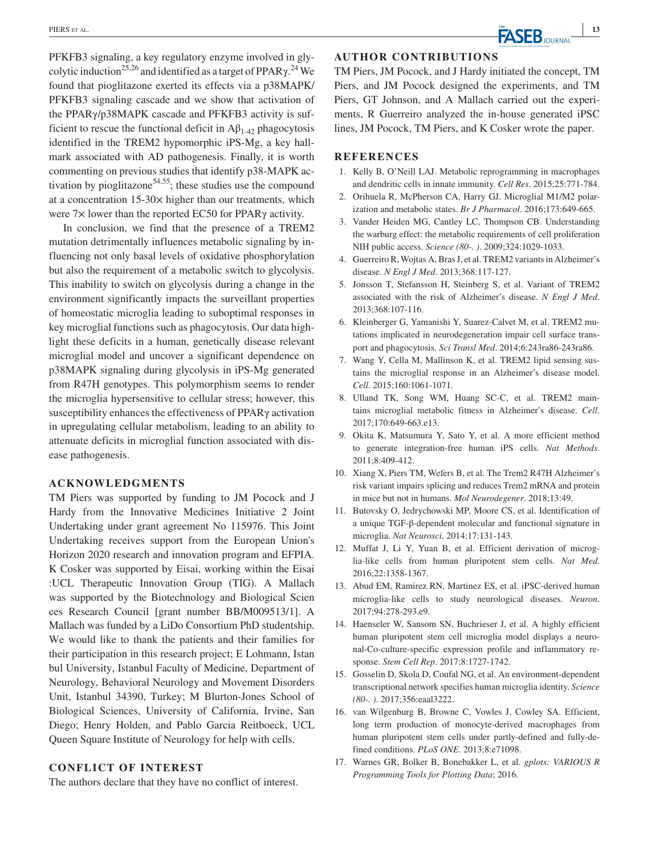PFKFB3 signaling, a key regulatory enzyme involved in glycolytic induction<sup>25,26</sup> and identified as a target of PPAR<sub>Y</sub>.<sup>24</sup> We found that pioglitazone exerted its effects via a p38MAPK/ PFKFB3 signaling cascade and we show that activation of the PPARγ/p38MAPK cascade and PFKFB3 activity is sufficient to rescue the functional deficit in  $A\beta_{1-42}$  phagocytosis identified in the TREM2 hypomorphic iPS-Mg, a key hallmark associated with AD pathogenesis. Finally, it is worth commenting on previous studies that identify p38-MAPK activation by pioglitazone<sup>54,55</sup>; these studies use the compound at a concentration  $15-30\times$  higher than our treatments, which were 7× lower than the reported EC50 for PPARγ activity.

In conclusion, we find that the presence of a TREM2 mutation detrimentally influences metabolic signaling by influencing not only basal levels of oxidative phosphorylation but also the requirement of a metabolic switch to glycolysis. This inability to switch on glycolysis during a change in the environment significantly impacts the surveillant properties of homeostatic microglia leading to suboptimal responses in key microglial functions such as phagocytosis. Our data highlight these deficits in a human, genetically disease relevant microglial model and uncover a significant dependence on p38MAPK signaling during glycolysis in iPS-Mg generated from R47H genotypes. This polymorphism seems to render the microglia hypersensitive to cellular stress; however, this susceptibility enhances the effectiveness of PPARγ activation in upregulating cellular metabolism, leading to an ability to attenuate deficits in microglial function associated with disease pathogenesis.

#### **ACKNOWLEDGMENTS**

TM Piers was supported by funding to JM Pocock and J Hardy from the Innovative Medicines Initiative 2 Joint Undertaking under grant agreement No 115976. This Joint Undertaking receives support from the European Union's [Horizon 2020](gs2%7Chttp://dx.doi.org/10.13039/100010661) research and innovation program and EFPIA. K Cosker was supported by Eisai, working within the [Eisai](gs5%7Chttp://dx.doi.org/10.13039/501100003769) :UCL Therapeutic Innovation Group (TIG). A Mallach was supported by the [Biotechnology and Biological Scien](gs3%7Chttp://dx.doi.org/10.13039/501100000268) [ces Research Council](gs3%7Chttp://dx.doi.org/10.13039/501100000268) [grant number BB/M009513/1]. A Mallach was funded by a LiDo Consortium PhD studentship. We would like to thank the patients and their families for their participation in this research project; E Lohmann, [Istan](gs4%7Chttp://dx.doi.org/10.13039/501100002657) [bul University,](gs4%7Chttp://dx.doi.org/10.13039/501100002657) Istanbul Faculty of Medicine, Department of Neurology, Behavioral Neurology and Movement Disorders Unit, Istanbul 34390, Turkey; M Blurton-Jones School of Biological Sciences, [University of California](gs1%7Chttp://dx.doi.org/10.13039/100005595), Irvine, San Diego; Henry Holden, and Pablo Garcia Reitboeck, UCL Queen Square Institute of Neurology for help with cells.

#### **CONFLICT OF INTEREST**

The authors declare that they have no conflict of interest.

#### **AUTHOR CONTRIBUTIONS**

TM Piers, JM Pocock, and J Hardy initiated the concept, TM Piers, and JM Pocock designed the experiments, and TM Piers, GT Johnson, and A Mallach carried out the experiments, R Guerreiro analyzed the in-house generated iPSC lines, JM Pocock, TM Piers, and K Cosker wrote the paper.

#### **REFERENCES**

- 1. Kelly B, O'Neill LAJ. Metabolic reprogramming in macrophages and dendritic cells in innate immunity. *Cell Res*. 2015;25:771-784.
- 2. Orihuela R, McPherson CA, Harry GJ. Microglial M1/M2 polarization and metabolic states. *Br J Pharmacol*. 2016;173:649-665.
- 3. Vander Heiden MG, Cantley LC, Thompson CB. Understanding the warburg effect: the metabolic requirements of cell proliferation NIH public access. *Science (80-. )*. 2009;324:1029-1033.
- 4. Guerreiro R, Wojtas A, Bras J, et al. TREM2 variants in Alzheimer's disease. *N Engl J Med*. 2013;368:117-127.
- 5. Jonsson T, Stefansson H, Steinberg S, et al. Variant of TREM2 associated with the risk of Alzheimer's disease. *N Engl J Med*. 2013;368:107-116.
- 6. Kleinberger G, Yamanishi Y, Suarez-Calvet M, et al. TREM2 mutations implicated in neurodegeneration impair cell surface transport and phagocytosis. *Sci Transl Med*. 2014;6:243ra86-243ra86.
- 7. Wang Y, Cella M, Mallinson K, et al. TREM2 lipid sensing sustains the microglial response in an Alzheimer's disease model. *Cell*. 2015;160:1061-1071.
- 8. Ulland TK, Song WM, Huang SC-C, et al. TREM2 maintains microglial metabolic fitness in Alzheimer's disease. *Cell*. 2017;170:649-663.e13.
- 9. Okita K, Matsumura Y, Sato Y, et al. A more efficient method to generate integration-free human iPS cells. *Nat Methods*. 2011;8:409-412.
- 10. Xiang X, Piers TM, Wefers B, et al. The Trem2 R47H Alzheimer's risk variant impairs splicing and reduces Trem2 mRNA and protein in mice but not in humans. *Mol Neurodegener*. 2018;13:49.
- 11. Butovsky O, Jedrychowski MP, Moore CS, et al. Identification of a unique TGF-β-dependent molecular and functional signature in microglia. *Nat Neurosci*. 2014;17:131-143.
- 12. Muffat J, Li Y, Yuan B, et al. Efficient derivation of microglia-like cells from human pluripotent stem cells. *Nat Med*. 2016;22:1358-1367.
- 13. Abud EM, Ramirez RN, Martinez ES, et al. iPSC-derived human microglia-like cells to study neurological diseases. *Neuron*. 2017;94:278-293.e9.
- 14. Haenseler W, Sansom SN, Buchrieser J, et al. A highly efficient human pluripotent stem cell microglia model displays a neuronal-Co-culture-specific expression profile and inflammatory response. *Stem Cell Rep*. 2017;8:1727-1742.
- 15. Gosselin D, Skola D, Coufal NG, et al. An environment-dependent transcriptional network specifies human microglia identity. *Science (80-. )*. 2017;356:eaal3222.
- 16. van Wilgenburg B, Browne C, Vowles J, Cowley SA. Efficient, long term production of monocyte-derived macrophages from human pluripotent stem cells under partly-defined and fully-defined conditions. *PLoS ONE*. 2013;8:e71098.
- 17. Warnes GR, Bolker B, Bonebakker L, et al. *gplots: VARIOUS R Programming Tools for Plotting Data*; 2016.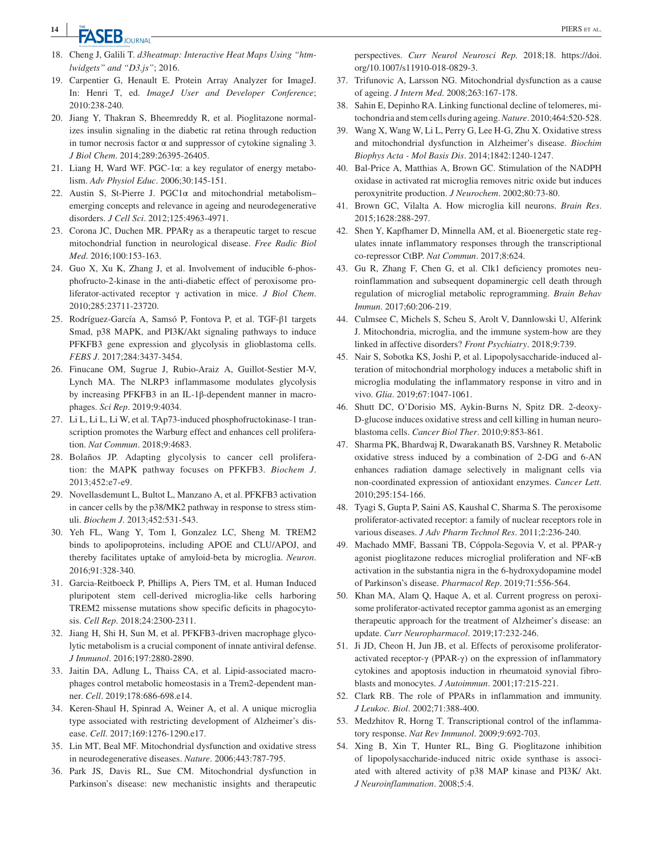- 18. Cheng J, Galili T. *d3heatmap: Interactive Heat Maps Using "htmlwidgets" and "D3.js"*; 2016.
- 19. Carpentier G, Henault E. Protein Array Analyzer for ImageJ. In: Henri T, ed. *ImageJ User and Developer Conference*; 2010:238-240.
- 20. Jiang Y, Thakran S, Bheemreddy R, et al. Pioglitazone normalizes insulin signaling in the diabetic rat retina through reduction in tumor necrosis factor  $\alpha$  and suppressor of cytokine signaling 3. *J Biol Chem*. 2014;289:26395-26405.
- 21. Liang H, Ward WF. PGC-1 $\alpha$ : a key regulator of energy metabolism. *Adv Physiol Educ*. 2006;30:145-151.
- 22. Austin S, St-Pierre J. PGC1 $\alpha$  and mitochondrial metabolismemerging concepts and relevance in ageing and neurodegenerative disorders. *J Cell Sci*. 2012;125:4963-4971.
- 23. Corona JC, Duchen MR. PPARγ as a therapeutic target to rescue mitochondrial function in neurological disease. *Free Radic Biol Med*. 2016;100:153-163.
- 24. Guo X, Xu K, Zhang J, et al. Involvement of inducible 6-phosphofructo-2-kinase in the anti-diabetic effect of peroxisome proliferator-activated receptor γ activation in mice. *J Biol Chem*. 2010;285:23711-23720.
- 25. Rodríguez-García A, Samsó P, Fontova P, et al. TGF-β1 targets Smad, p38 MAPK, and PI3K/Akt signaling pathways to induce PFKFB3 gene expression and glycolysis in glioblastoma cells. *FEBS J*. 2017;284:3437-3454.
- 26. Finucane OM, Sugrue J, Rubio-Araiz A, Guillot-Sestier M-V, Lynch MA. The NLRP3 inflammasome modulates glycolysis by increasing PFKFB3 in an IL-1β-dependent manner in macrophages. *Sci Rep*. 2019;9:4034.
- 27. Li L, Li L, Li W, et al. TAp73-induced phosphofructokinase-1 transcription promotes the Warburg effect and enhances cell proliferation. *Nat Commun*. 2018;9:4683.
- 28. Bolaños JP. Adapting glycolysis to cancer cell proliferation: the MAPK pathway focuses on PFKFB3. *Biochem J*. 2013;452:e7-e9.
- 29. Novellasdemunt L, Bultot L, Manzano A, et al. PFKFB3 activation in cancer cells by the p38/MK2 pathway in response to stress stimuli. *Biochem J*. 2013;452:531-543.
- 30. Yeh FL, Wang Y, Tom I, Gonzalez LC, Sheng M. TREM2 binds to apolipoproteins, including APOE and CLU/APOJ, and thereby facilitates uptake of amyloid-beta by microglia. *Neuron*. 2016;91:328-340.
- 31. Garcia-Reitboeck P, Phillips A, Piers TM, et al. Human Induced pluripotent stem cell-derived microglia-like cells harboring TREM2 missense mutations show specific deficits in phagocytosis. *Cell Rep*. 2018;24:2300-2311.
- 32. Jiang H, Shi H, Sun M, et al. PFKFB3-driven macrophage glycolytic metabolism is a crucial component of innate antiviral defense. *J Immunol*. 2016;197:2880-2890.
- 33. Jaitin DA, Adlung L, Thaiss CA, et al. Lipid-associated macrophages control metabolic homeostasis in a Trem2-dependent manner. *Cell*. 2019;178:686-698.e14.
- 34. Keren-Shaul H, Spinrad A, Weiner A, et al. A unique microglia type associated with restricting development of Alzheimer's disease. *Cell*. 2017;169:1276-1290.e17.
- 35. Lin MT, Beal MF. Mitochondrial dysfunction and oxidative stress in neurodegenerative diseases. *Nature*. 2006;443:787-795.
- 36. Park JS, Davis RL, Sue CM. Mitochondrial dysfunction in Parkinson's disease: new mechanistic insights and therapeutic

perspectives. *Curr Neurol Neurosci Rep.* 2018;18. [https://doi.](https://doi.org/10.1007/s11910-018-0829-3) [org/10.1007/s11910-018-0829-3](https://doi.org/10.1007/s11910-018-0829-3).

- 37. Trifunovic A, Larsson NG. Mitochondrial dysfunction as a cause of ageing. *J Intern Med*. 2008;263:167-178.
- 38. Sahin E, Depinho RA. Linking functional decline of telomeres, mitochondria and stem cells during ageing. *Nature*. 2010;464:520-528.
- 39. Wang X, Wang W, Li L, Perry G, Lee H-G, Zhu X. Oxidative stress and mitochondrial dysfunction in Alzheimer's disease. *Biochim Biophys Acta - Mol Basis Dis*. 2014;1842:1240-1247.
- 40. Bal-Price A, Matthias A, Brown GC. Stimulation of the NADPH oxidase in activated rat microglia removes nitric oxide but induces peroxynitrite production. *J Neurochem*. 2002;80:73-80.
- 41. Brown GC, Vilalta A. How microglia kill neurons. *Brain Res*. 2015;1628:288-297.
- 42. Shen Y, Kapfhamer D, Minnella AM, et al. Bioenergetic state regulates innate inflammatory responses through the transcriptional co-repressor CtBP. *Nat Commun*. 2017;8:624.
- 43. Gu R, Zhang F, Chen G, et al. Clk1 deficiency promotes neuroinflammation and subsequent dopaminergic cell death through regulation of microglial metabolic reprogramming. *Brain Behav Immun*. 2017;60:206-219.
- 44. Culmsee C, Michels S, Scheu S, Arolt V, Dannlowski U, Alferink J. Mitochondria, microglia, and the immune system-how are they linked in affective disorders? *Front Psychiatry*. 2018;9:739.
- 45. Nair S, Sobotka KS, Joshi P, et al. Lipopolysaccharide-induced alteration of mitochondrial morphology induces a metabolic shift in microglia modulating the inflammatory response in vitro and in vivo. *Glia*. 2019;67:1047-1061.
- 46. Shutt DC, O'Dorisio MS, Aykin-Burns N, Spitz DR. 2-deoxy-D-glucose induces oxidative stress and cell killing in human neuroblastoma cells. *Cancer Biol Ther*. 2010;9:853-861.
- 47. Sharma PK, Bhardwaj R, Dwarakanath BS, Varshney R. Metabolic oxidative stress induced by a combination of 2-DG and 6-AN enhances radiation damage selectively in malignant cells via non-coordinated expression of antioxidant enzymes. *Cancer Lett*. 2010;295:154-166.
- 48. Tyagi S, Gupta P, Saini AS, Kaushal C, Sharma S. The peroxisome proliferator-activated receptor: a family of nuclear receptors role in various diseases. *J Adv Pharm Technol Res*. 2011;2:236-240.
- 49. Machado MMF, Bassani TB, Cóppola-Segovia V, et al. PPAR-γ agonist pioglitazone reduces microglial proliferation and NF-κB activation in the substantia nigra in the 6-hydroxydopamine model of Parkinson's disease. *Pharmacol Rep*. 2019;71:556-564.
- 50. Khan MA, Alam Q, Haque A, et al. Current progress on peroxisome proliferator-activated receptor gamma agonist as an emerging therapeutic approach for the treatment of Alzheimer's disease: an update. *Curr Neuropharmacol*. 2019;17:232-246.
- 51. Ji JD, Cheon H, Jun JB, et al. Effects of peroxisome proliferatoractivated receptor-γ (PPAR-γ) on the expression of inflammatory cytokines and apoptosis induction in rheumatoid synovial fibroblasts and monocytes. *J Autoimmun*. 2001;17:215-221.
- 52. Clark RB. The role of PPARs in inflammation and immunity. *J Leukoc. Biol*. 2002;71:388-400.
- 53. Medzhitov R, Horng T. Transcriptional control of the inflammatory response. *Nat Rev Immunol*. 2009;9:692-703.
- 54. Xing B, Xin T, Hunter RL, Bing G. Pioglitazone inhibition of lipopolysaccharide-induced nitric oxide synthase is associated with altered activity of p38 MAP kinase and PI3K/ Akt. *J Neuroinflammation*. 2008;5:4.